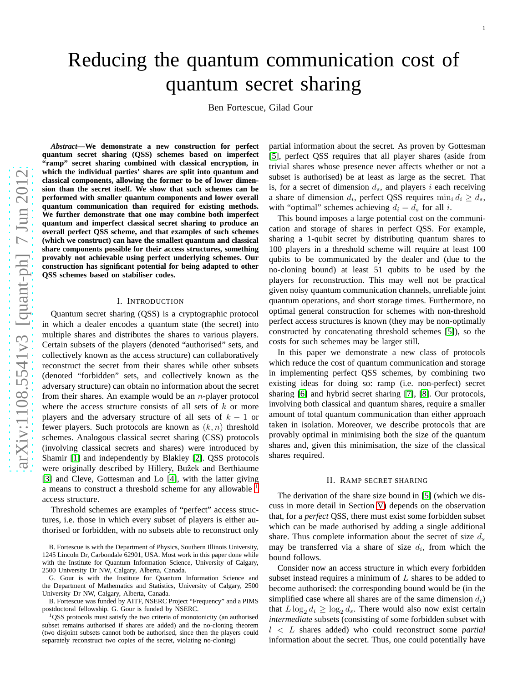# Reducing the quantum communication cost of quantum secret sharing

Ben Fortescue, Gilad Gour

*Abstract***—We demonstrate a new construction for perfect quantum secret sharing (QSS) schemes based on imperfect "ramp" secret sharing combined with classical encryption, in which the individual parties' shares are split into quantum and classical components, allowing the former to be of lower dimension than the secret itself. We show that such schemes can be performed with smaller quantum components and lower overal l quantum communication than required for existing methods. We further demonstrate that one may combine both imperfect quantum and imperfect classical secret sharing to produce a n overall perfect QSS scheme, and that examples of such scheme s (which we construct) can have the smallest quantum and classical share components possible for their access structures, something provably not achievable using perfect underlying schemes. Our construction has significant potential for being adapted to other QSS schemes based on stabiliser codes.**

## I. INTRODUCTION

Quantum secret sharing (QSS) is a cryptographic protocol in which a dealer encodes a quantum state (the secret) into multiple shares and distributes the shares to various players. Certain subsets of the players (denoted "authorised" sets, and collectively known as the access structure) can collaboratively reconstruct the secret from their shares while other subset s (denoted "forbidden" sets, and collectively known as the adversary structure) can obtain no information about the secret from their shares. An example would be an  $n$ -player protocol where the access structure consists of all sets of  $k$  or more players and the adversary structure of all sets of  $k-1$  or fewer players. Such protocols are known as  $(k, n)$  threshold schemes. Analogous classical secret sharing (CSS) protocols (involving classical secrets and shares) were introduced b y Shamir [\[1\]](#page-7-0) and independently by Blakley [\[2\]](#page-7-1). QSS protocols were originally described by Hillery, Buzek and Berthiaume [\[3\]](#page-7-2) and Cleve, Gottesman and Lo [\[4\]](#page-7-3), with the latter giving a means to construct a threshold scheme for any allowable <sup>[1](#page-0-0)</sup> access structure.

Threshold schemes are examples of "perfect" access structures, i.e. those in which every subset of players is either authorised or forbidden, with no subsets able to reconstruct only

partial information about the secret. As proven by Gottesma n [\[5\]](#page-7-4), perfect QSS requires that all player shares (aside from trivial shares whose presence never affects whether or not a subset is authorised) be at least as large as the secret. That is, for a secret of dimension  $d_s$ , and players i each receiving a share of dimension  $d_i$ , perfect QSS requires  $\min_i d_i \geq d_s$ , with "optimal" schemes achieving  $d_i = d_s$  for all i.

This bound imposes a large potential cost on the communication and storage of shares in perfect QSS. For example, sharing a 1-qubit secret by distributing quantum shares to 100 players in a threshold scheme will require at least 100 qubits to be communicated by the dealer and (due to the no-cloning bound) at least 51 qubits to be used by the players for reconstruction. This may well not be practical given noisy quantum communication channels, unreliable joint quantum operations, and short storage times. Furthermore, no optimal general construction for schemes with non-threshold perfect access structures is known (they may be non-optimally constructed by concatenating threshold schemes [\[5\]](#page-7-4)), so th e costs for such schemes may be larger still.

In this paper we demonstrate a new class of protocols which reduce the cost of quantum communication and storage in implementing perfect QSS schemes, by combining two existing ideas for doing so: ramp (i.e. non-perfect) secret sharing [\[6\]](#page-7-5) and hybrid secret sharing [\[7\]](#page-7-6), [\[8\]](#page-7-7). Our protocols, involving both classical and quantum shares, require a smaller amount of total quantum communication than either approach taken in isolation. Moreover, we describe protocols that ar e provably optimal in minimising both the size of the quantum shares and, given this minimisation, the size of the classical shares required.

#### II. RAMP SECRET SHARING

The derivation of the share size bound in [\[5\]](#page-7-4) (which we discuss in more detail in Section [V\)](#page-3-0) depends on the observation that, for a *perfect* QSS, there must exist some forbidden subset which can be made authorised by adding a single additional share. Thus complete information about the secret of size  $d_s$ may be transferred via a share of size  $d_i$ , from which the bound follows.

Consider now an access structure in which every forbidden subset instead requires a minimum of  $L$  shares to be added to become authorised: the corresponding bound would be (in the simplified case where all shares are of the same dimension  $d_i$ ) that  $L \log_2 d_i \geq \log_2 d_s$ . There would also now exist certain *intermediate* subsets (consisting of some forbidden subset with l < L shares added) who could reconstruct some *partial* information about the secret. Thus, one could potentially have

B. Fortescue is with the Department of Physics, Southern Illinois University, 1245 Lincoln Dr, Carbondale 62901, USA. Most work in this paper done while with the Institute for Quantum Information Science, University of Calgary, 2500 University Dr NW, Calgary, Alberta, Canada.

G. Gour is with the Institute for Quantum Information Science and the Department of Mathematics and Statistics, University of Calgary, 2500 University Dr NW, Calgary, Alberta, Canada.

B. Fortescue was funded by AITF, NSERC Project "Frequency" and a PIMS postdoctoral fellowship. G. Gour is funded by NSERC.

<span id="page-0-0"></span><sup>1</sup>QSS protocols must satisfy the two criteria of monotonicity (an authorised subset remains authorised if shares are added) and the no-cloning theorem (two disjoint subsets cannot both be authorised, since then the players could separately reconstruct two copies of the secret, violating no-cloning)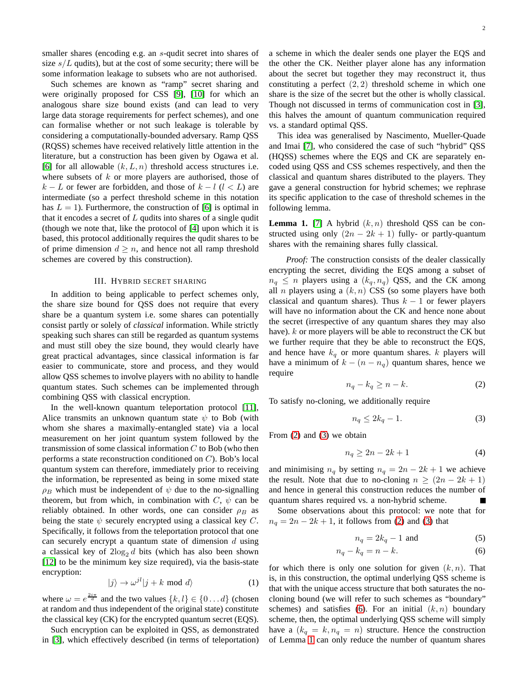smaller shares (encoding e.g. an s-qudit secret into shares of size  $s/L$  qudits), but at the cost of some security; there will be some information leakage to subsets who are not authorised.

Such schemes are known as "ramp" secret sharing and were originally proposed for CSS [\[9\]](#page-7-8), [\[10\]](#page-7-9) for which an analogous share size bound exists (and can lead to very large data storage requirements for perfect schemes), and one can formalise whether or not such leakage is tolerable by considering a computationally-bounded adversary. Ramp QSS (RQSS) schemes have received relatively little attention in the literature, but a construction has been given by Ogawa et al. [\[6\]](#page-7-5) for all allowable  $(k, L, n)$  threshold access structures i.e. where subsets of  $k$  or more players are authorised, those of  $k - L$  or fewer are forbidden, and those of  $k - l$  ( $l < L$ ) are intermediate (so a perfect threshold scheme in this notation has  $L = 1$ ). Furthermore, the construction of [\[6\]](#page-7-5) is optimal in that it encodes a secret of  $L$  qudits into shares of a single qudit (though we note that, like the protocol of [\[4\]](#page-7-3) upon which it is based, this protocol additionally requires the qudit shares to be of prime dimension  $d \geq n$ , and hence not all ramp threshold schemes are covered by this construction).

#### III. HYBRID SECRET SHARING

In addition to being applicable to perfect schemes only, the share size bound for QSS does not require that every share be a quantum system i.e. some shares can potentially consist partly or solely of *classical* information. While strictly speaking such shares can still be regarded as quantum systems and must still obey the size bound, they would clearly have great practical advantages, since classical information is far easier to communicate, store and process, and they would allow QSS schemes to involve players with no ability to handle quantum states. Such schemes can be implemented through combining QSS with classical encryption.

In the well-known quantum teleportation protocol [\[11\]](#page-7-10), Alice transmits an unknown quantum state  $\psi$  to Bob (with whom she shares a maximally-entangled state) via a local measurement on her joint quantum system followed by the transmission of some classical information  $C$  to Bob (who then performs a state reconstruction conditioned on C). Bob's local quantum system can therefore, immediately prior to receiving the information, be represented as being in some mixed state  $\rho_B$  which must be independent of  $\psi$  due to the no-signalling theorem, but from which, in combination with  $C$ ,  $\psi$  can be reliably obtained. In other words, one can consider  $\rho_B$  as being the state  $\psi$  securely encrypted using a classical key C. Specifically, it follows from the teleportation protocol that one can securely encrypt a quantum state of dimension  $d$  using a classical key of  $2\log_2 d$  bits (which has also been shown [\[12\]](#page-7-11) to be the minimum key size required), via the basis-state encryption:

<span id="page-1-4"></span>
$$
|j\rangle \to \omega^{jl}|j+k \text{ mod } d\rangle \tag{1}
$$

where  $\omega = e^{\frac{2i\pi}{d}}$  and the two values  $\{k, l\} \in \{0 \dots d\}$  (chosen at random and thus independent of the original state) constitute the classical key (CK) for the encrypted quantum secret (EQS).

Such encryption can be exploited in QSS, as demonstrated in [\[3\]](#page-7-2), which effectively described (in terms of teleportation) a scheme in which the dealer sends one player the EQS and the other the CK. Neither player alone has any information about the secret but together they may reconstruct it, thus constituting a perfect  $(2, 2)$  threshold scheme in which one share is the size of the secret but the other is wholly classical. Though not discussed in terms of communication cost in [\[3\]](#page-7-2), this halves the amount of quantum communication required vs. a standard optimal QSS.

This idea was generalised by Nascimento, Mueller-Quade and Imai [\[7\]](#page-7-6), who considered the case of such "hybrid" QSS (HQSS) schemes where the EQS and CK are separately encoded using QSS and CSS schemes respectively, and then the classical and quantum shares distributed to the players. They gave a general construction for hybrid schemes; we rephrase its specific application to the case of threshold schemes in the following lemma.

<span id="page-1-3"></span>**Lemma 1.** [\[7\]](#page-7-6) A hybrid  $(k, n)$  threshold QSS can be constructed using only  $(2n - 2k + 1)$  fully- or partly-quantum shares with the remaining shares fully classical.

*Proof:* The construction consists of the dealer classically encrypting the secret, dividing the EQS among a subset of  $n_q \leq n$  players using a  $(k_q, n_q)$  QSS, and the CK among all *n* players using a  $(k, n)$  CSS (so some players have both classical and quantum shares). Thus  $k - 1$  or fewer players will have no information about the CK and hence none about the secret (irrespective of any quantum shares they may also have). *k* or more players will be able to reconstruct the CK but we further require that they be able to reconstruct the EQS, and hence have  $k_q$  or more quantum shares. k players will have a minimum of  $k - (n - n_q)$  quantum shares, hence we require

<span id="page-1-0"></span>
$$
n_q - k_q \ge n - k. \tag{2}
$$

To satisfy no-cloning, we additionally require

<span id="page-1-1"></span>
$$
n_q \le 2k_q - 1. \tag{3}
$$

From [\(2\)](#page-1-0) and [\(3\)](#page-1-1) we obtain

$$
n_q \ge 2n - 2k + 1\tag{4}
$$

and minimising  $n_q$  by setting  $n_q = 2n - 2k + 1$  we achieve the result. Note that due to no-cloning  $n \ge (2n - 2k + 1)$ and hence in general this construction reduces the number of quantum shares required vs. a non-hybrid scheme.

Some observations about this protocol: we note that for  $n_q = 2n - 2k + 1$ , it follows from [\(2\)](#page-1-0) and [\(3\)](#page-1-1) that

<span id="page-1-2"></span>
$$
n_q = 2k_q - 1 \text{ and } (5)
$$

$$
n_q - k_q = n - k.\tag{6}
$$

for which there is only one solution for given  $(k, n)$ . That is, in this construction, the optimal underlying QSS scheme is that with the unique access structure that both saturates the nocloning bound (we will refer to such schemes as "boundary" schemes) and satisfies [\(6\)](#page-1-2). For an initial  $(k, n)$  boundary scheme, then, the optimal underlying QSS scheme will simply have a  $(k_q = k, n_q = n)$  structure. Hence the construction of Lemma [1](#page-1-3) can only reduce the number of quantum shares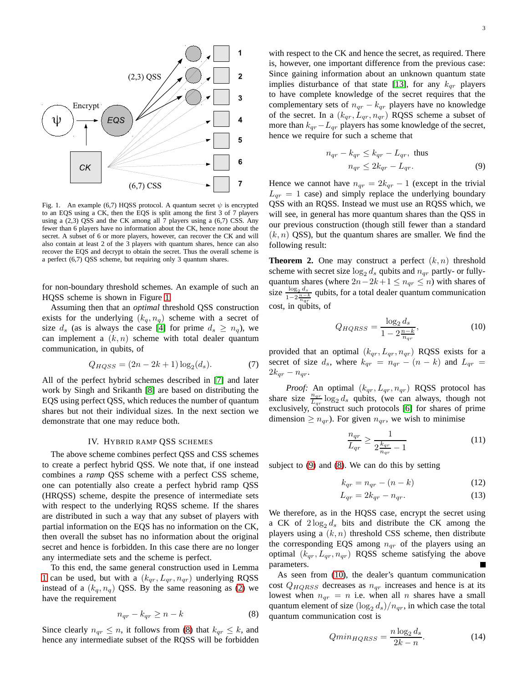

<span id="page-2-0"></span>Fig. 1. An example (6,7) HQSS protocol. A quantum secret  $\psi$  is encrypted to an EQS using a CK, then the EQS is split among the first 3 of 7 players using a  $(2,3)$  QSS and the CK among all 7 players using a  $(6,7)$  CSS. Any fewer than 6 players have no information about the CK, hence none about the secret. A subset of 6 or more players, however, can recover the CK and will also contain at least 2 of the 3 players with quantum shares, hence can also recover the EQS and decrypt to obtain the secret. Thus the overall scheme is a perfect (6,7) QSS scheme, but requiring only 3 quantum shares.

for non-boundary threshold schemes. An example of such an HQSS scheme is shown in Figure [1.](#page-2-0)

Assuming then that an *optimal* threshold QSS construction exists for the underlying  $(k_q, n_q)$  scheme with a secret of size  $d_s$  (as is always the case [\[4\]](#page-7-3) for prime  $d_s \geq n_q$ ), we can implement a  $(k, n)$  scheme with total dealer quantum communication, in qubits, of

<span id="page-2-4"></span>
$$
Q_{HQSS} = (2n - 2k + 1)\log_2(d_s).
$$
 (7)

All of the perfect hybrid schemes described in [\[7\]](#page-7-6) and later work by Singh and Srikanth [\[8\]](#page-7-7) are based on distributing the EQS using perfect QSS, which reduces the number of quantum shares but not their individual sizes. In the next section we demonstrate that one may reduce both.

## IV. HYBRID RAMP QSS SCHEMES

The above scheme combines perfect QSS and CSS schemes to create a perfect hybrid QSS. We note that, if one instead combines a *ramp* QSS scheme with a perfect CSS scheme, one can potentially also create a perfect hybrid ramp QSS (HRQSS) scheme, despite the presence of intermediate sets with respect to the underlying RQSS scheme. If the shares are distributed in such a way that any subset of players with partial information on the EQS has no information on the CK, then overall the subset has no information about the original secret and hence is forbidden. In this case there are no longer any intermediate sets and the scheme is perfect.

To this end, the same general construction used in Lemma [1](#page-1-3) can be used, but with a  $(k_{qr}, L_{qr}, n_{qr})$  underlying RQSS instead of a  $(k_q, n_q)$  QSS. By the same reasoning as [\(2\)](#page-1-0) we have the requirement

<span id="page-2-1"></span>
$$
n_{qr} - k_{qr} \ge n - k \tag{8}
$$

Since clearly  $n_{qr} \leq n$ , it follows from [\(8\)](#page-2-1) that  $k_{qr} \leq k$ , and hence any intermediate subset of the RQSS will be forbidden

with respect to the CK and hence the secret, as required. There is, however, one important difference from the previous case: Since gaining information about an unknown quantum state implies disturbance of that state [\[13\]](#page-7-12), for any  $k_{qr}$  players to have complete knowledge of the secret requires that the complementary sets of  $n_{qr} - k_{qr}$  players have no knowledge of the secret. In a  $(k_{qr}, L_{qr}, n_{qr})$  RQSS scheme a subset of more than  $k_{qr}-L_{qr}$  players has some knowledge of the secret, hence we require for such a scheme that

<span id="page-2-2"></span>
$$
n_{qr} - k_{qr} \le k_{qr} - L_{qr}, \text{ thus}
$$

$$
n_{qr} \le 2k_{qr} - L_{qr}.
$$
 (9)

Hence we cannot have  $n_{qr} = 2k_{qr} - 1$  (except in the trivial  $L_{qr} = 1$  case) and simply replace the underlying boundary QSS with an RQSS. Instead we must use an RQSS which, we will see, in general has more quantum shares than the QSS in our previous construction (though still fewer than a standard  $(k, n)$  QSS), but the quantum shares are smaller. We find the following result:

**Theorem 2.** One may construct a perfect  $(k, n)$  threshold scheme with secret size  $\log_2 d_s$  qubits and  $n_{qr}$  partly- or fullyquantum shares (where  $2n-2k+1 \leq n_{qr} \leq n$ ) with shares of size  $\frac{\log_2 d_s}{1-2\frac{n-k}{nqr}}$  qubits, for a total dealer quantum communication cost, in qubits, of

<span id="page-2-3"></span>
$$
Q_{HQRSS} = \frac{\log_2 d_s}{1 - 2\frac{n - k}{n_{qr}}},\tag{10}
$$

provided that an optimal  $(k_{qr}, L_{qr}, n_{qr})$  RQSS exists for a secret of size  $d_s$ , where  $k_{qr} = n_{qr} - (n - k)$  and  $L_{qr} =$  $2k_{qr} - n_{qr}.$ 

*Proof:* An optimal  $(k_{qr}, L_{qr}, n_{qr})$  RQSS protocol has share size  $\frac{n_{qr}}{L_{qr}} \log_2 d_s$  qubits, (we can always, though not exclusively, construct such protocols [\[6\]](#page-7-5) for shares of prime dimension  $\geq n_{qr}$ ). For given  $n_{qr}$ , we wish to minimise

$$
\frac{n_{qr}}{L_{qr}} \ge \frac{1}{2\frac{k_{qr}}{n_{qr}} - 1} \tag{11}
$$

subject to [\(9\)](#page-2-2) and [\(8\)](#page-2-1). We can do this by setting

$$
k_{qr} = n_{qr} - (n - k) \tag{12}
$$

$$
L_{qr} = 2k_{qr} - n_{qr}.\tag{13}
$$

We therefore, as in the HQSS case, encrypt the secret using a CK of  $2 \log_2 d_s$  bits and distribute the CK among the players using a  $(k, n)$  threshold CSS scheme, then distribute the corresponding EQS among  $n_{qr}$  of the players using an optimal  $(k_{qr}, L_{qr}, n_{qr})$  RQSS scheme satisfying the above parameters.

As seen from [\(10\)](#page-2-3), the dealer's quantum communication cost  $Q_{HQRSS}$  decreases as  $n_{qr}$  increases and hence is at its lowest when  $n_{qr} = n$  i.e. when all n shares have a small quantum element of size  $(\log_2 d_s)/n_{qr}$ , in which case the total quantum communication cost is

$$
Qmin_{HQRSS} = \frac{n \log_2 d_s}{2k - n}.
$$
\n(14)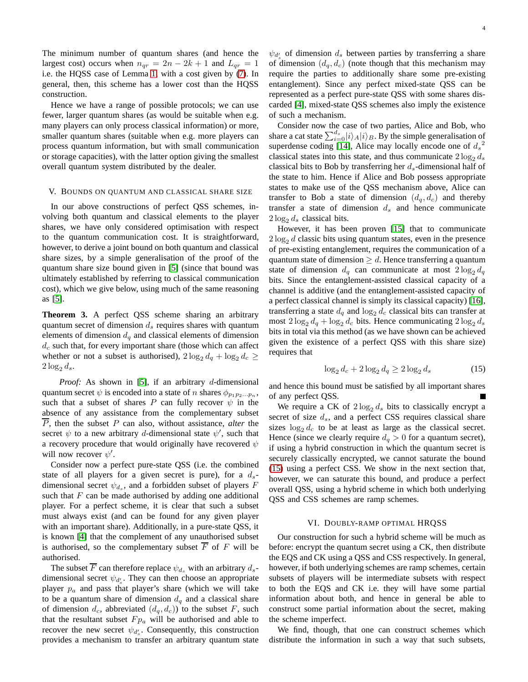The minimum number of quantum shares (and hence the largest cost) occurs when  $n_{qr} = 2n - 2k + 1$  and  $L_{qr} = 1$ i.e. the HQSS case of Lemma [1,](#page-1-3) with a cost given by [\(7\)](#page-2-4). In general, then, this scheme has a lower cost than the HQSS construction.

Hence we have a range of possible protocols; we can use fewer, larger quantum shares (as would be suitable when e.g. many players can only process classical information) or more, smaller quantum shares (suitable when e.g. more players can process quantum information, but with small communication or storage capacities), with the latter option giving the smallest overall quantum system distributed by the dealer.

#### <span id="page-3-0"></span>V. BOUNDS ON QUANTUM AND CLASSICAL SHARE SIZE

In our above constructions of perfect QSS schemes, involving both quantum and classical elements to the player shares, we have only considered optimisation with respect to the quantum communication cost. It is straightforward, however, to derive a joint bound on both quantum and classical share sizes, by a simple generalisation of the proof of the quantum share size bound given in [\[5\]](#page-7-4) (since that bound was ultimately established by referring to classical communication cost), which we give below, using much of the same reasoning as [\[5\]](#page-7-4).

**Theorem 3.** A perfect QSS scheme sharing an arbitrary quantum secret of dimension  $d_s$  requires shares with quantum elements of dimension  $d_q$  and classical elements of dimension  $d_c$  such that, for every important share (those which can affect whether or not a subset is authorised),  $2 \log_2 d_q + \log_2 d_c \geq$  $2\log_2 d_s$ .

*Proof:* As shown in [\[5\]](#page-7-4), if an arbitrary d-dimensional quantum secret  $\psi$  is encoded into a state of n shares  $\phi_{p_1p_2...p_n}$ , such that a subset of shares P can fully recover  $\psi$  in the absence of any assistance from the complementary subset P, then the subset P can also, without assistance, *alter* the secret  $\psi$  to a new arbitrary d-dimensional state  $\psi'$ , such that a recovery procedure that would originally have recovered  $\psi$ will now recover  $\psi'$ .

Consider now a perfect pure-state QSS (i.e. the combined state of all players for a given secret is pure), for a  $d_s$ dimensional secret  $\psi_{d_s}$ , and a forbidden subset of players F such that  $F$  can be made authorised by adding one additional player. For a perfect scheme, it is clear that such a subset must always exist (and can be found for any given player with an important share). Additionally, in a pure-state QSS, it is known [\[4\]](#page-7-3) that the complement of any unauthorised subset is authorised, so the complementary subset  $\overline{F}$  of F will be authorised.

The subset  $\overline{F}$  can therefore replace  $\psi_{d_s}$  with an arbitrary  $d_s$ dimensional secret  $\psi_{d'_{s}}$ . They can then choose an appropriate player  $p_a$  and pass that player's share (which we will take to be a quantum share of dimension  $d_q$  and a classical share of dimension  $d_c$ , abbreviated  $(d_q, d_c)$  to the subset F, such that the resultant subset  $F p_a$  will be authorised and able to recover the new secret  $\psi_{d'_{s}}$ . Consequently, this construction provides a mechanism to transfer an arbitrary quantum state

 $\psi_{d'_{s}}$  of dimension  $d_{s}$  between parties by transferring a share of dimension  $(d_q, d_c)$  (note though that this mechanism may require the parties to additionally share some pre-existing entanglement). Since any perfect mixed-state QSS can be represented as a perfect pure-state QSS with some shares discarded [\[4\]](#page-7-3), mixed-state QSS schemes also imply the existence of such a mechanism.

Consider now the case of two parties, Alice and Bob, who share a cat state  $\sum_{i=0}^{d_s}|i\rangle_A|i\rangle_B$ . By the simple generalisation of superdense coding [\[14\]](#page-7-13), Alice may locally encode one of  $d_s^2$ classical states into this state, and thus communicate  $2 \log_2 d_s$ classical bits to Bob by transferring her  $d_s$ -dimensional half of the state to him. Hence if Alice and Bob possess appropriate states to make use of the QSS mechanism above, Alice can transfer to Bob a state of dimension  $(d_q, d_c)$  and thereby transfer a state of dimension  $d_s$  and hence communicate  $2 \log_2 d_s$  classical bits.

However, it has been proven [\[15\]](#page-7-14) that to communicate  $2 \log_2 d$  classic bits using quantum states, even in the presence of pre-existing entanglement, requires the communication of a quantum state of dimension  $\geq d$ . Hence transferring a quantum state of dimension  $d_q$  can communicate at most  $2 \log_2 d_q$ bits. Since the entanglement-assisted classical capacity of a channel is additive (and the entanglement-assisted capacity of a perfect classical channel is simply its classical capacity) [\[16\]](#page-7-15), transferring a state  $d_q$  and  $\log_2 d_c$  classical bits can transfer at most  $2 \log_2 d_q + \log_2 d_c$  bits. Hence communicating  $2 \log_2 d_s$ bits in total via this method (as we have shown can be achieved given the existence of a perfect QSS with this share size) requires that

<span id="page-3-1"></span>
$$
\log_2 d_c + 2\log_2 d_q \ge 2\log_2 d_s \tag{15}
$$

and hence this bound must be satisfied by all important shares of any perfect QSS.

We require a CK of  $2 \log_2 d_s$  bits to classically encrypt a secret of size  $d_s$ , and a perfect CSS requires classical share sizes  $\log_2 d_c$  to be at least as large as the classical secret. Hence (since we clearly require  $d_q > 0$  for a quantum secret), if using a hybrid construction in which the quantum secret is securely classically encrypted, we cannot saturate the bound [\(15\)](#page-3-1) using a perfect CSS. We show in the next section that, however, we can saturate this bound, and produce a perfect overall QSS, using a hybrid scheme in which both underlying QSS and CSS schemes are ramp schemes.

## VI. DOUBLY-RAMP OPTIMAL HRQSS

Our construction for such a hybrid scheme will be much as before: encrypt the quantum secret using a CK, then distribute the EQS and CK using a QSS and CSS respectively. In general, however, if both underlying schemes are ramp schemes, certain subsets of players will be intermediate subsets with respect to both the EQS and CK i.e. they will have some partial information about both, and hence in general be able to construct some partial information about the secret, making the scheme imperfect.

We find, though, that one can construct schemes which distribute the information in such a way that such subsets,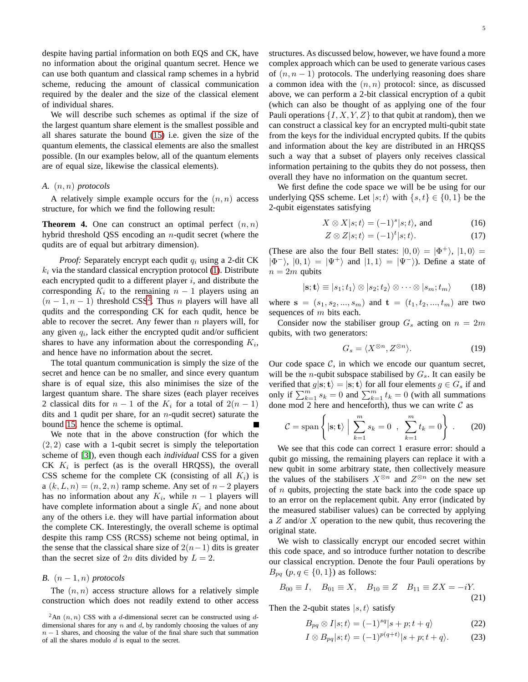despite having partial information on both EQS and CK, have no information about the original quantum secret. Hence we can use both quantum and classical ramp schemes in a hybrid scheme, reducing the amount of classical communication required by the dealer and the size of the classical element of individual shares.

We will describe such schemes as optimal if the size of the largest quantum share element is the smallest possible and all shares saturate the bound [\(15\)](#page-3-1) i.e. given the size of the quantum elements, the classical elements are also the smallest possible. (In our examples below, all of the quantum elements are of equal size, likewise the classical elements).

## *A.* (n, n) *protocols*

A relatively simple example occurs for the  $(n, n)$  access structure, for which we find the following result:

**Theorem 4.** One can construct an optimal perfect  $(n, n)$ hybrid threshold QSS encoding an n-qudit secret (where the qudits are of equal but arbitrary dimension).

*Proof:* Separately encrypt each qudit  $q_i$  using a 2-dit CK  $k_i$  via the standard classical encryption protocol [\(1\)](#page-1-4). Distribute each encrypted qudit to a different player  $i$ , and distribute the corresponding  $K_i$  to the remaining  $n-1$  players using an  $(n-1, n-1)$  threshold CSS<sup>[2](#page-4-0)</sup>. Thus *n* players will have all qudits and the corresponding CK for each qudit, hence be able to recover the secret. Any fewer than  $n$  players will, for any given  $q_i$ , lack either the encrypted qudit and/or sufficient shares to have any information about the corresponding  $K_i$ , and hence have no information about the secret.

The total quantum communication is simply the size of the secret and hence can be no smaller, and since every quantum share is of equal size, this also minimises the size of the largest quantum share. The share sizes (each player receives 2 classical dits for  $n - 1$  of the  $K_i$  for a total of  $2(n - 1)$ dits and 1 qudit per share, for an  $n$ -qudit secret) saturate the bound [15,](#page-3-1) hence the scheme is optimal.

We note that in the above construction (for which the  $(2, 2)$  case with a 1-qubit secret is simply the teleportation scheme of [\[3\]](#page-7-2)), even though each *individual* CSS for a given CK  $K_i$  is perfect (as is the overall HRQSS), the overall CSS scheme for the complete CK (consisting of all  $K_i$ ) is a  $(k, L, n) = (n, 2, n)$  ramp scheme. Any set of  $n - 2$  players has no information about any  $K_i$ , while  $n-1$  players will have complete information about a single  $K_i$  and none about any of the others i.e. they will have partial information about the complete CK. Interestingly, the overall scheme is optimal despite this ramp CSS (RCSS) scheme not being optimal, in the sense that the classical share size of  $2(n-1)$  dits is greater than the secret size of  $2n$  dits divided by  $L = 2$ .

# *B.*  $(n-1, n)$  *protocols*

The  $(n, n)$  access structure allows for a relatively simple construction which does not readily extend to other access structures. As discussed below, however, we have found a more complex approach which can be used to generate various cases of  $(n, n - 1)$  protocols. The underlying reasoning does share a common idea with the  $(n, n)$  protocol: since, as discussed above, we can perform a 2-bit classical encryption of a qubit (which can also be thought of as applying one of the four Pauli operations  $\{I, X, Y, Z\}$  to that qubit at random), then we can construct a classical key for an encrypted multi-qubit state from the keys for the individual encrypted qubits. If the qubits and information about the key are distributed in an HRQSS such a way that a subset of players only receives classical information pertaining to the qubits they do not possess, then overall they have no information on the quantum secret.

We first define the code space we will be be using for our underlying QSS scheme. Let  $|s; t\rangle$  with  $\{s, t\} \in \{0, 1\}$  be the 2-qubit eigenstates satisfying

$$
X \otimes X|s;t\rangle = (-1)^s|s;t\rangle, \text{ and } (16)
$$

$$
Z \otimes Z|s;t\rangle = (-1)^t|s;t\rangle.
$$
 (17)

(These are also the four Bell states:  $|0,0\rangle = |\Phi^+\rangle, |1,0\rangle =$  $|\Phi^{-}\rangle$ ,  $|0,1\rangle = |\Psi^{+}\rangle$  and  $|1,1\rangle = |\Psi^{-}\rangle$ ). Define a state of  $n = 2m$  qubits

$$
|\mathbf{s};\mathbf{t}\rangle \equiv |s_1;t_1\rangle \otimes |s_2;t_2\rangle \otimes \cdots \otimes |s_m;t_m\rangle \tag{18}
$$

where  $s = (s_1, s_2, ..., s_m)$  and  $t = (t_1, t_2, ..., t_m)$  are two sequences of  $m$  bits each.

Consider now the stabiliser group  $G_s$  acting on  $n = 2m$ qubits, with two generators:

$$
G_s = \langle X^{\otimes n}, Z^{\otimes n} \rangle. \tag{19}
$$

Our code space  $C$ , in which we encode our quantum secret, will be the *n*-qubit subspace stabilised by  $G_s$ . It can easily be verified that  $g|\mathbf{s}; \mathbf{t}\rangle = |\mathbf{s}; \mathbf{t}\rangle$  for all four elements  $g \in G_s$  if and only if  $\sum_{k=1}^{m} s_k = 0$  and  $\sum_{k=1}^{m} t_k = 0$  (with all summations done mod 2 here and henceforth), thus we can write  $C$  as

$$
\mathcal{C} = \text{span}\left\{ |\mathbf{s}; \mathbf{t}\rangle \; \Big| \; \sum_{k=1}^{m} s_k = 0 \; , \; \sum_{k=1}^{m} t_k = 0 \right\} \; . \tag{20}
$$

We see that this code can correct 1 erasure error: should a qubit go missing, the remaining players can replace it with a new qubit in some arbitrary state, then collectively measure the values of the stabilisers  $X^{\otimes n}$  and  $Z^{\otimes n}$  on the new set of  $n$  qubits, projecting the state back into the code space up to an error on the replacement qubit. Any error (indicated by the measured stabiliser values) can be corrected by applying a  $Z$  and/or  $X$  operation to the new qubit, thus recovering the original state.

We wish to classically encrypt our encoded secret within this code space, and so introduce further notation to describe our classical encryption. Denote the four Pauli operations by  $B_{pq}$   $(p, q \in \{0, 1\})$  as follows:

$$
B_{00} \equiv I
$$
,  $B_{01} \equiv X$ ,  $B_{10} \equiv Z$   $B_{11} \equiv ZX = -iY$ . (21)

Then the 2-qubit states  $|s, t\rangle$  satisfy

<span id="page-4-1"></span>
$$
B_{pq} \otimes I|s;t\rangle = (-1)^{sq}|s+p;t+q\rangle \tag{22}
$$

<span id="page-4-2"></span>
$$
I \otimes B_{pq}|s;t\rangle = (-1)^{p(q+t)}|s+p;t+q\rangle.
$$
 (23)

<span id="page-4-0"></span> ${}^{2}$ An  $(n, n)$  CSS with a d-dimensional secret can be constructed using ddimensional shares for any  $n$  and  $d$ , by randomly choosing the values of any  $n - 1$  shares, and choosing the value of the final share such that summation of all the shares modulo  $d$  is equal to the secret.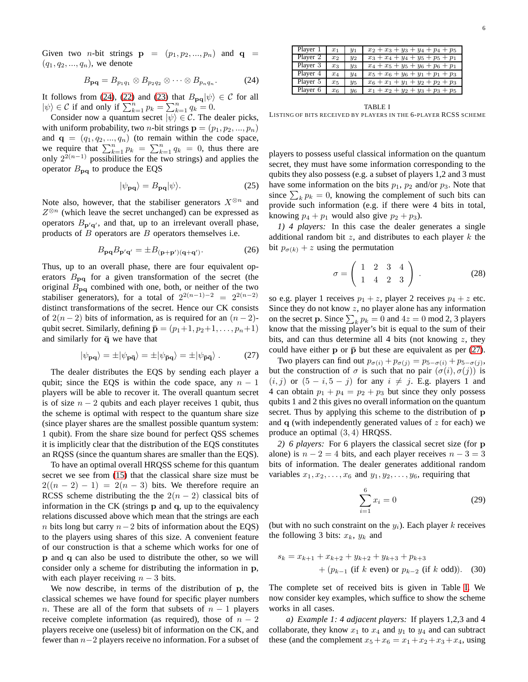6

Given two *n*-bit strings  $\mathbf{p} = (p_1, p_2, ..., p_n)$  and  $\mathbf{q} =$  $(q_1, q_2, ..., q_n)$ , we denote

<span id="page-5-0"></span>
$$
B_{\mathbf{pq}} = B_{p_1q_1} \otimes B_{p_2q_2} \otimes \cdots \otimes B_{p_nq_n}.
$$
 (24)

It follows from [\(24\)](#page-5-0), [\(22\)](#page-4-1) and [\(23\)](#page-4-2) that  $B_{pq}|\psi\rangle \in \mathcal{C}$  for all  $|\psi\rangle \in C$  if and only if  $\sum_{k=1}^{n} p_k = \sum_{k=1}^{n} q_k = 0$ .

Consider now a quantum secret  $|\psi\rangle \in \mathcal{C}$ . The dealer picks, with uniform probability, two *n*-bit strings  $\mathbf{p} = (p_1, p_2, ..., p_n)$ and  $\mathbf{q} = (q_1, q_2, ..., q_n)$  (to remain within the code space, we require that  $\sum_{k=1}^{n} p_k = \sum_{k=1}^{n} q_k = 0$ , thus there are only  $2^{2(n-1)}$  possibilities for the two strings) and applies the operator  $B_{pq}$  to produce the EQS

$$
|\psi_{\mathbf{pq}}\rangle = B_{\mathbf{pq}}|\psi\rangle.
$$
 (25)

Note also, however, that the stabiliser generators  $X^{\otimes n}$  and  $Z^{\otimes n}$  (which leave the secret unchanged) can be expressed as operators  $B_{\mathbf{p}'\mathbf{q}'}$ , and that, up to an irrelevant overall phase, products of  $B$  operators are  $B$  operators themselves i.e.

$$
B_{\mathbf{p}\mathbf{q}}B_{\mathbf{p}'\mathbf{q}'} = \pm B_{(\mathbf{p}+\mathbf{p}')(\mathbf{q}+\mathbf{q}')}.\tag{26}
$$

Thus, up to an overall phase, there are four equivalent operators  $B_{pq}$  for a given transformation of the secret (the original  $B_{pq}$  combined with one, both, or neither of the two stabiliser generators), for a total of  $2^{2(n-1)-2} = 2^{2(n-2)}$ distinct transformations of the secret. Hence our CK consists of  $2(n-2)$  bits of information, as is required for an  $(n-2)$ qubit secret. Similarly, defining  $\bar{\mathbf{p}} = (p_1+1, p_2+1, \dots, p_n+1)$ and similarly for  $\bar{q}$  we have that

<span id="page-5-1"></span>
$$
|\psi_{\mathbf{pq}}\rangle = \pm |\psi_{\mathbf{p}\bar{\mathbf{q}}}\rangle = \pm |\psi_{\mathbf{\bar{p}}\mathbf{q}}\rangle = \pm |\psi_{\mathbf{\bar{p}}\bar{\mathbf{q}}}\rangle. \tag{27}
$$

The dealer distributes the EQS by sending each player a qubit; since the EQS is within the code space, any  $n - 1$ players will be able to recover it. The overall quantum secret is of size  $n - 2$  qubits and each player receives 1 qubit, thus the scheme is optimal with respect to the quantum share size (since player shares are the smallest possible quantum system: 1 qubit). From the share size bound for perfect QSS schemes it is implicitly clear that the distribution of the EQS constitutes an RQSS (since the quantum shares are smaller than the EQS).

To have an optimal overall HRQSS scheme for this quantum secret we see from [\(15\)](#page-3-1) that the classical share size must be  $2((n-2)-1) = 2(n-3)$  bits. We therefore require an RCSS scheme distributing the the  $2(n-2)$  classical bits of information in the CK (strings p and q, up to the equivalency relations discussed above which mean that the strings are each n bits long but carry  $n-2$  bits of information about the EQS) to the players using shares of this size. A convenient feature of our construction is that a scheme which works for one of p and q can also be used to distribute the other, so we will consider only a scheme for distributing the information in p, with each player receiving  $n - 3$  bits.

We now describe, in terms of the distribution of p, the classical schemes we have found for specific player numbers n. These are all of the form that subsets of  $n - 1$  players receive complete information (as required), those of  $n - 2$ players receive one (useless) bit of information on the CK, and fewer than n−2 players receive no information. For a subset of

| Player 1 | $x_1$   | $y_1$    | $x_2 + x_3 + y_3 + y_4 + p_4 + p_5$ |
|----------|---------|----------|-------------------------------------|
| Player 2 | $x_2$   | $y_2$    | $x_3 + x_4 + y_4 + y_5 + p_5 + p_1$ |
| Player 3 | $x_3$   | $y_3$    | $x_4 + x_5 + y_5 + y_6 + p_6 + p_1$ |
| Player 4 | $x_4$   | $^{y_4}$ | $x_5 + x_6 + y_6 + y_1 + p_1 + p_3$ |
| Player 5 | $x_{5}$ | $y_5$    | $x_6 + x_1 + y_1 + y_2 + p_2 + p_3$ |
| Player 6 | $x_6$   | У6       | $x_1 + x_2 + y_2 + y_3 + p_3 + p_5$ |

<span id="page-5-2"></span>TABLE I LISTING OF BITS RECEIVED BY PLAYERS IN THE 6-PLAYER RCSS SCHEME

players to possess useful classical information on the quantum secret, they must have some information corresponding to the qubits they also possess (e.g. a subset of players 1,2 and 3 must have some information on the bits  $p_1$ ,  $p_2$  and/or  $p_3$ . Note that since  $\sum_k p_k = 0$ , knowing the complement of such bits can provide such information (e.g. if there were 4 bits in total, knowing  $p_4 + p_1$  would also give  $p_2 + p_3$ ).

*1) 4 players:* In this case the dealer generates a single additional random bit  $z$ , and distributes to each player  $k$  the bit  $p_{\sigma(k)} + z$  using the permutation

$$
\sigma = \left( \begin{array}{rrr} 1 & 2 & 3 & 4 \\ 1 & 4 & 2 & 3 \end{array} \right) . \tag{28}
$$

so e.g. player 1 receives  $p_1 + z$ , player 2 receives  $p_4 + z$  etc. Since they do not know  $z$ , no player alone has any information on the secret **p**. Since  $\sum_k p_k = 0$  and  $4z = 0$  mod 2, 3 players know that the missing player's bit is equal to the sum of their bits, and can thus determine all 4 bits (not knowing  $z$ , they could have either  $p$  or  $\bar{p}$  but these are equivalent as per [\(27\)](#page-5-1).

Two players can find out  $p_{\sigma(i)} + p_{\sigma(j)} = p_{5-\sigma(i)} + p_{5-\sigma(j)}$ , but the construction of  $\sigma$  is such that no pair  $(\sigma(i), \sigma(j))$  is  $(i, j)$  or  $(5 - i, 5 - j)$  for any  $i \neq j$ . E.g. players 1 and 4 can obtain  $p_1 + p_4 = p_2 + p_3$  but since they only possess qubits 1 and 2 this gives no overall information on the quantum secret. Thus by applying this scheme to the distribution of p and  $q$  (with independently generated values of  $z$  for each) we produce an optimal (3, 4) HRQSS.

*2) 6 players:* For 6 players the classical secret size (for p alone) is  $n - 2 = 4$  bits, and each player receives  $n - 3 = 3$ bits of information. The dealer generates additional random variables  $x_1, x_2, \ldots, x_6$  and  $y_1, y_2, \ldots, y_6$ , requiring that

<span id="page-5-3"></span>
$$
\sum_{i=1}^{6} x_i = 0
$$
 (29)

(but with no such constraint on the  $y_i$ ). Each player k receives the following 3 bits:  $x_k$ ,  $y_k$  and

$$
s_k = x_{k+1} + x_{k+2} + y_{k+2} + y_{k+3} + p_{k+3}
$$
  
+  $(p_{k-1}$  (if k even) or  $p_{k-2}$  (if k odd)). (30)

The complete set of received bits is given in Table [I.](#page-5-2) We now consider key examples, which suffice to show the scheme works in all cases.

*a) Example 1: 4 adjacent players:* If players 1,2,3 and 4 collaborate, they know  $x_1$  to  $x_4$  and  $y_1$  to  $y_4$  and can subtract these (and the complement  $x_5 + x_6 = x_1 + x_2 + x_3 + x_4$ , using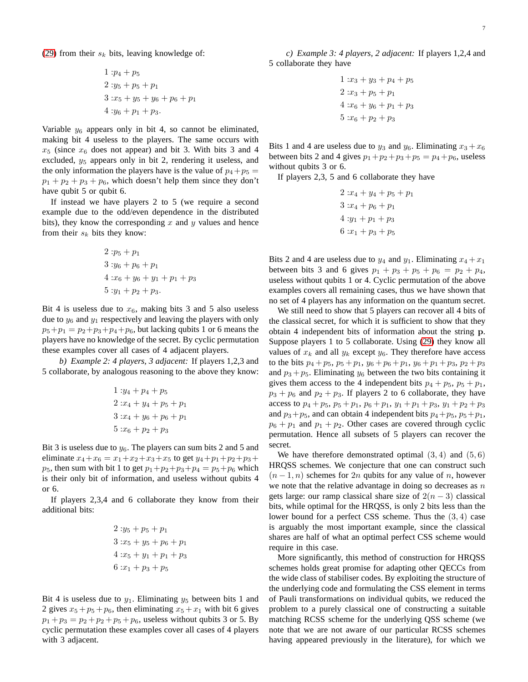[\(29\)](#page-5-3) from their  $s_k$  bits, leaving knowledge of:

$$
1 : p_4 + p_5
$$
  
\n
$$
2 : y_5 + p_5 + p_1
$$
  
\n
$$
3 : x_5 + y_5 + y_6 + p_6 + p_1
$$
  
\n
$$
4 : y_6 + p_1 + p_3.
$$

Variable  $y_6$  appears only in bit 4, so cannot be eliminated, making bit 4 useless to the players. The same occurs with  $x_5$  (since  $x_6$  does not appear) and bit 3. With bits 3 and 4 excluded,  $y_5$  appears only in bit 2, rendering it useless, and the only information the players have is the value of  $p_4+p_5$  =  $p_1 + p_2 + p_3 + p_6$ , which doesn't help them since they don't have qubit 5 or qubit 6.

If instead we have players 2 to 5 (we require a second example due to the odd/even dependence in the distributed bits), they know the corresponding  $x$  and  $y$  values and hence from their  $s_k$  bits they know:

$$
2 : p_5 + p_1
$$
  
\n
$$
3 : y_6 + p_6 + p_1
$$
  
\n
$$
4 : x_6 + y_6 + y_1 + p_1 + p_3
$$
  
\n
$$
5 : y_1 + p_2 + p_3.
$$

Bit 4 is useless due to  $x_6$ , making bits 3 and 5 also useless due to  $y_6$  and  $y_1$  respectively and leaving the players with only  $p_5 + p_1 = p_2 + p_3 + p_4 + p_6$ , but lacking qubits 1 or 6 means the players have no knowledge of the secret. By cyclic permutation these examples cover all cases of 4 adjacent players.

*b) Example 2: 4 players, 3 adjacent:* If players 1,2,3 and 5 collaborate, by analogous reasoning to the above they know:

$$
1: y_4 + p_4 + p_5
$$
  
\n
$$
2: x_4 + y_4 + p_5 + p_1
$$
  
\n
$$
3: x_4 + y_6 + p_6 + p_1
$$
  
\n
$$
5: x_6 + p_2 + p_3
$$

Bit 3 is useless due to  $y_6$ . The players can sum bits 2 and 5 and eliminate  $x_4+x_6 = x_1+x_2+x_3+x_5$  to get  $y_4+p_1+p_2+p_3$ +  $p_5$ , then sum with bit 1 to get  $p_1+p_2+p_3+p_4=p_5+p_6$  which is their only bit of information, and useless without qubits 4 or 6.

If players 2,3,4 and 6 collaborate they know from their additional bits:

$$
2: y_5 + p_5 + p_1
$$
  
\n
$$
3: x_5 + y_5 + p_6 + p_1
$$
  
\n
$$
4: x_5 + y_1 + p_1 + p_3
$$
  
\n
$$
6: x_1 + p_3 + p_5
$$

Bit 4 is useless due to  $y_1$ . Eliminating  $y_5$  between bits 1 and 2 gives  $x_5 + p_5 + p_6$ , then eliminating  $x_5 + x_1$  with bit 6 gives  $p_1 + p_3 = p_2 + p_2 + p_5 + p_6$ , useless without qubits 3 or 5. By cyclic permutation these examples cover all cases of 4 players with 3 adjacent.

*c) Example 3: 4 players, 2 adjacent:* If players 1,2,4 and 5 collaborate they have

1: 
$$
x_3 + y_3 + p_4 + p_5
$$
  
\n2:  $x_3 + p_5 + p_1$   
\n4:  $x_6 + y_6 + p_1 + p_3$   
\n5:  $x_6 + p_2 + p_3$ 

Bits 1 and 4 are useless due to  $y_3$  and  $y_6$ . Eliminating  $x_3 + x_6$ between bits 2 and 4 gives  $p_1+p_2+p_3+p_5 = p_4+p_6$ , useless without qubits 3 or 6.

If players 2,3, 5 and 6 collaborate they have

| $2:x_4+y_4+p_5+p_1$  |
|----------------------|
| $3: x_4 + p_6 + p_1$ |
| $4: y_1 + p_1 + p_3$ |
| $6: x_1 + p_3 + p_5$ |

Bits 2 and 4 are useless due to  $y_4$  and  $y_1$ . Eliminating  $x_4 + x_1$ between bits 3 and 6 gives  $p_1 + p_3 + p_5 + p_6 = p_2 + p_4$ , useless without qubits 1 or 4. Cyclic permutation of the above examples covers all remaining cases, thus we have shown that no set of 4 players has any information on the quantum secret.

We still need to show that 5 players can recover all 4 bits of the classical secret, for which it is sufficient to show that they obtain 4 independent bits of information about the string p. Suppose players 1 to 5 collaborate. Using [\(29\)](#page-5-3) they know all values of  $x_k$  and all  $y_k$  except  $y_6$ . They therefore have access to the bits  $p_4 + p_5$ ,  $p_5 + p_1$ ,  $y_6 + p_6 + p_1$ ,  $y_6 + p_1 + p_3$ ,  $p_2 + p_3$ and  $p_3 + p_5$ . Eliminating  $y_6$  between the two bits containing it gives them access to the 4 independent bits  $p_4 + p_5$ ,  $p_5 + p_1$ ,  $p_3 + p_6$  and  $p_2 + p_3$ . If players 2 to 6 collaborate, they have access to  $p_4 + p_5$ ,  $p_5 + p_1$ ,  $p_6 + p_1$ ,  $y_1 + p_1 + p_3$ ,  $y_1 + p_2 + p_3$ and  $p_3+p_5$ , and can obtain 4 independent bits  $p_4+p_5$ ,  $p_5+p_1$ ,  $p_6 + p_1$  and  $p_1 + p_2$ . Other cases are covered through cyclic permutation. Hence all subsets of 5 players can recover the secret.

We have therefore demonstrated optimal  $(3, 4)$  and  $(5, 6)$ HRQSS schemes. We conjecture that one can construct such  $(n-1, n)$  schemes for 2n qubits for any value of n, however we note that the relative advantage in doing so decreases as  $n$ gets large: our ramp classical share size of  $2(n-3)$  classical bits, while optimal for the HRQSS, is only 2 bits less than the lower bound for a perfect CSS scheme. Thus the (3, 4) case is arguably the most important example, since the classical shares are half of what an optimal perfect CSS scheme would require in this case.

More significantly, this method of construction for HRQSS schemes holds great promise for adapting other QECCs from the wide class of stabiliser codes. By exploiting the structure of the underlying code and formulating the CSS element in terms of Pauli transformations on individual qubits, we reduced the problem to a purely classical one of constructing a suitable matching RCSS scheme for the underlying QSS scheme (we note that we are not aware of our particular RCSS schemes having appeared previously in the literature), for which we